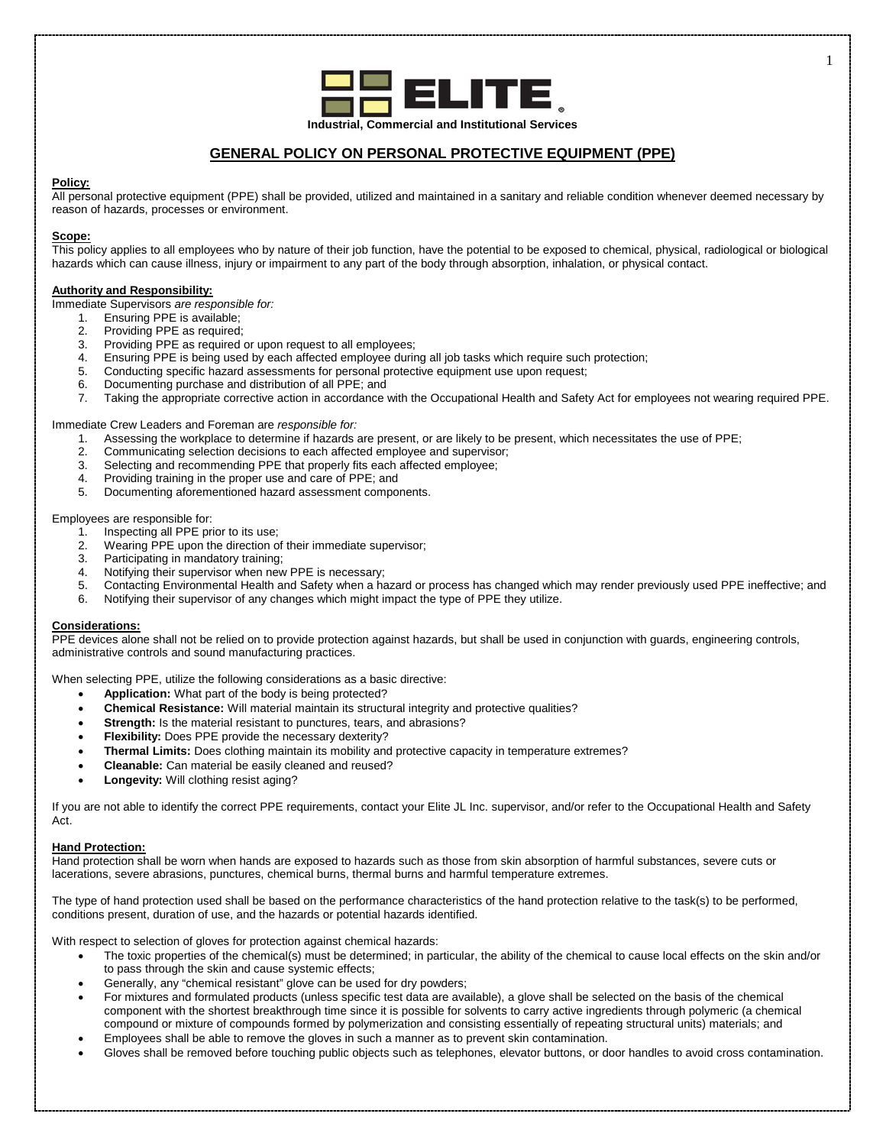

# **GENERAL POLICY ON PERSONAL PROTECTIVE EQUIPMENT (PPE)**

# **Policy:**

All personal protective equipment (PPE) shall be provided, utilized and maintained in a sanitary and reliable condition whenever deemed necessary by reason of hazards, processes or environment.

# **Scope:**

This policy applies to all employees who by nature of their job function, have the potential to be exposed to chemical, physical, radiological or biological hazards which can cause illness, injury or impairment to any part of the body through absorption, inhalation, or physical contact.

# **Authority and Responsibility:**

Immediate Supervisors *are responsible for:*

- 1. Ensuring PPE is available;<br>2. Providing PPF as required
- 2. Providing PPE as required;<br>3. Providing PPE as required
- Providing PPE as required or upon request to all employees;
- 4. Ensuring PPE is being used by each affected employee during all job tasks which require such protection;<br>5. Conducting specific hazard assessments for personal protective equipment use upon request:
- 5. Conducting specific hazard assessments for personal protective equipment use upon request;
- 6. Documenting purchase and distribution of all PPE; and
- 7. Taking the appropriate corrective action in accordance with the Occupational Health and Safety Act for employees not wearing required PPE.

Immediate Crew Leaders and Foreman are *responsible for:*

- 1. Assessing the workplace to determine if hazards are present, or are likely to be present, which necessitates the use of PPE;<br>2. Communicating selection decisions to each affected employee and supervisor:
- 2. Communicating selection decisions to each affected employee and supervisor;
- 3. Selecting and recommending PPE that properly fits each affected employee;
- 4. Providing training in the proper use and care of PPE; and<br>5. Documenting aforementioned hazard assessment compo
- 5. Documenting aforementioned hazard assessment components.

Employees are responsible for:

- 1. Inspecting all PPE prior to its use;
- 2. Wearing PPE upon the direction of their immediate supervisor;
- 3. Participating in mandatory training;
- 4. Notifying their supervisor when new PPE is necessary;<br>5. Contacting Environmental Health and Safety when a ha
- 5. Contacting Environmental Health and Safety when a hazard or process has changed which may render previously used PPE ineffective; and
- 6. Notifying their supervisor of any changes which might impact the type of PPE they utilize.

### **Considerations:**

PPE devices alone shall not be relied on to provide protection against hazards, but shall be used in conjunction with guards, engineering controls, administrative controls and sound manufacturing practices.

When selecting PPE, utilize the following considerations as a basic directive:

- **Application:** What part of the body is being protected?
- **Chemical Resistance:** Will material maintain its structural integrity and protective qualities?
- **Strength:** Is the material resistant to punctures, tears, and abrasions?
- **Flexibility:** Does PPE provide the necessary dexterity?
- **Thermal Limits:** Does clothing maintain its mobility and protective capacity in temperature extremes?
- **Cleanable:** Can material be easily cleaned and reused?
- **Longevity:** Will clothing resist aging?

If you are not able to identify the correct PPE requirements, contact your Elite JL Inc. supervisor, and/or refer to the Occupational Health and Safety Act.

# **Hand Protection:**

Hand protection shall be worn when hands are exposed to hazards such as those from skin absorption of harmful substances, severe cuts or lacerations, severe abrasions, punctures, chemical burns, thermal burns and harmful temperature extremes.

The type of hand protection used shall be based on the performance characteristics of the hand protection relative to the task(s) to be performed, conditions present, duration of use, and the hazards or potential hazards identified.

With respect to selection of gloves for protection against chemical hazards:

- The toxic properties of the chemical(s) must be determined; in particular, the ability of the chemical to cause local effects on the skin and/or to pass through the skin and cause systemic effects;
- Generally, any "chemical resistant" glove can be used for dry powders;
- For mixtures and formulated products (unless specific test data are available), a glove shall be selected on the basis of the chemical component with the shortest breakthrough time since it is possible for solvents to carry active ingredients through polymeric (a chemical compound or mixture of compounds formed by polymerization and consisting essentially of repeating structural units) materials; and
- Employees shall be able to remove the gloves in such a manner as to prevent skin contamination.
- Gloves shall be removed before touching public objects such as telephones, elevator buttons, or door handles to avoid cross contamination.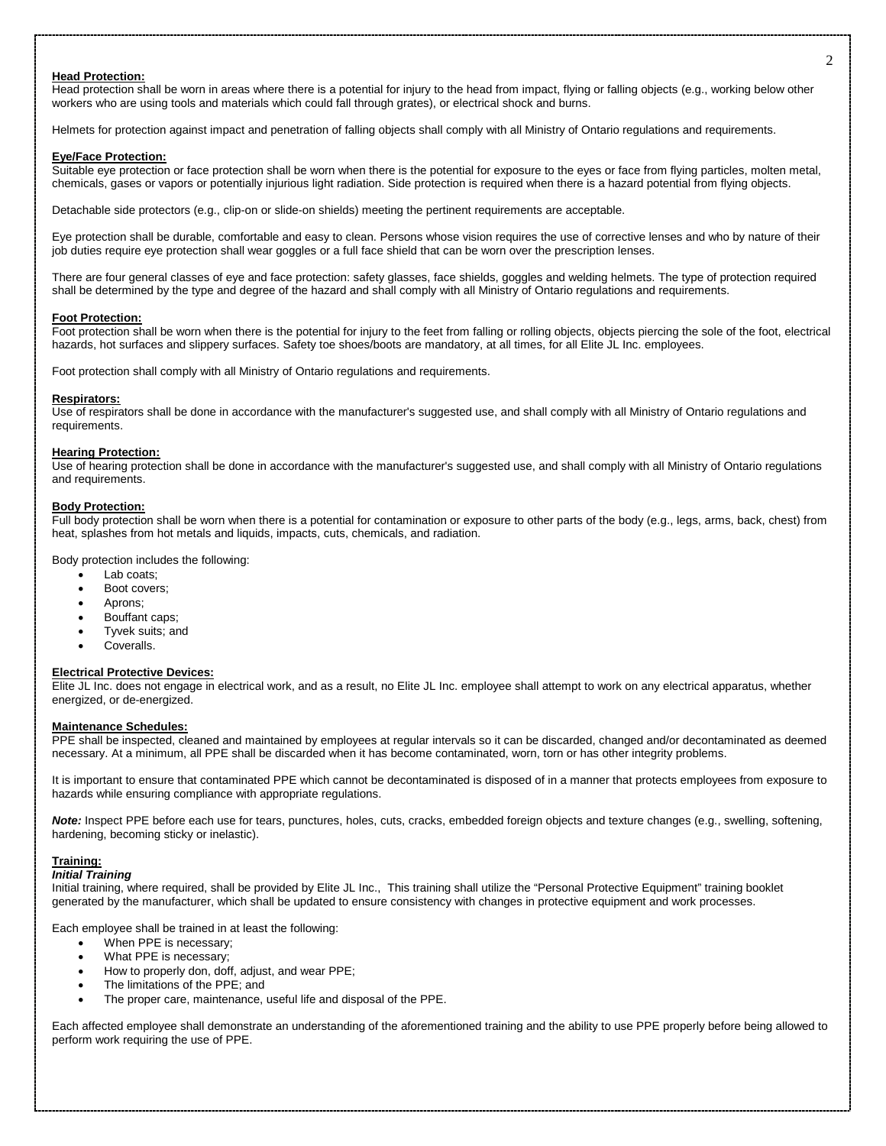#### **Head Protection:**

Head protection shall be worn in areas where there is a potential for injury to the head from impact, flying or falling objects (e.g., working below other workers who are using tools and materials which could fall through grates), or electrical shock and burns.

Helmets for protection against impact and penetration of falling objects shall comply with all Ministry of Ontario regulations and requirements.

### **Eye/Face Protection:**

Suitable eye protection or face protection shall be worn when there is the potential for exposure to the eyes or face from flying particles, molten metal, chemicals, gases or vapors or potentially injurious light radiation. Side protection is required when there is a hazard potential from flying objects.

Detachable side protectors (e.g., clip-on or slide-on shields) meeting the pertinent requirements are acceptable.

Eye protection shall be durable, comfortable and easy to clean. Persons whose vision requires the use of corrective lenses and who by nature of their job duties require eye protection shall wear goggles or a full face shield that can be worn over the prescription lenses.

There are four general classes of eye and face protection: safety glasses, face shields, goggles and welding helmets. The type of protection required shall be determined by the type and degree of the hazard and shall comply with all Ministry of Ontario regulations and requirements.

## **Foot Protection:**

Foot protection shall be worn when there is the potential for injury to the feet from falling or rolling objects, objects piercing the sole of the foot, electrical hazards, hot surfaces and slippery surfaces. Safety toe shoes/boots are mandatory, at all times, for all Elite JL Inc. employees.

Foot protection shall comply with all Ministry of Ontario regulations and requirements.

#### **Respirators:**

Use of respirators shall be done in accordance with the manufacturer's suggested use, and shall comply with all Ministry of Ontario regulations and requirements.

#### **Hearing Protection:**

Use of hearing protection shall be done in accordance with the manufacturer's suggested use, and shall comply with all Ministry of Ontario regulations and requirements.

### **Body Protection:**

Full body protection shall be worn when there is a potential for contamination or exposure to other parts of the body (e.g., legs, arms, back, chest) from heat, splashes from hot metals and liquids, impacts, cuts, chemicals, and radiation.

Body protection includes the following:

- Lab coats;
- Boot covers;
- Aprons;
- Bouffant caps;
- Tyvek suits; and
- Coveralls.

# **Electrical Protective Devices:**

Elite JL Inc. does not engage in electrical work, and as a result, no Elite JL Inc. employee shall attempt to work on any electrical apparatus, whether energized, or de-energized.

#### **Maintenance Schedules:**

PPE shall be inspected, cleaned and maintained by employees at regular intervals so it can be discarded, changed and/or decontaminated as deemed necessary. At a minimum, all PPE shall be discarded when it has become contaminated, worn, torn or has other integrity problems.

It is important to ensure that contaminated PPE which cannot be decontaminated is disposed of in a manner that protects employees from exposure to hazards while ensuring compliance with appropriate regulations.

*Note:* Inspect PPE before each use for tears, punctures, holes, cuts, cracks, embedded foreign objects and texture changes (e.g., swelling, softening, hardening, becoming sticky or inelastic).

# **Training:**

*Initial Training*

Initial training, where required, shall be provided by Elite JL Inc., This training shall utilize the "Personal Protective Equipment" training booklet generated by the manufacturer, which shall be updated to ensure consistency with changes in protective equipment and work processes.

Each employee shall be trained in at least the following:

- When PPE is necessary;
- What PPE is necessary;
- How to properly don, doff, adjust, and wear PPE;
- The limitations of the PPE; and
- The proper care, maintenance, useful life and disposal of the PPE.

Each affected employee shall demonstrate an understanding of the aforementioned training and the ability to use PPE properly before being allowed to perform work requiring the use of PPE.